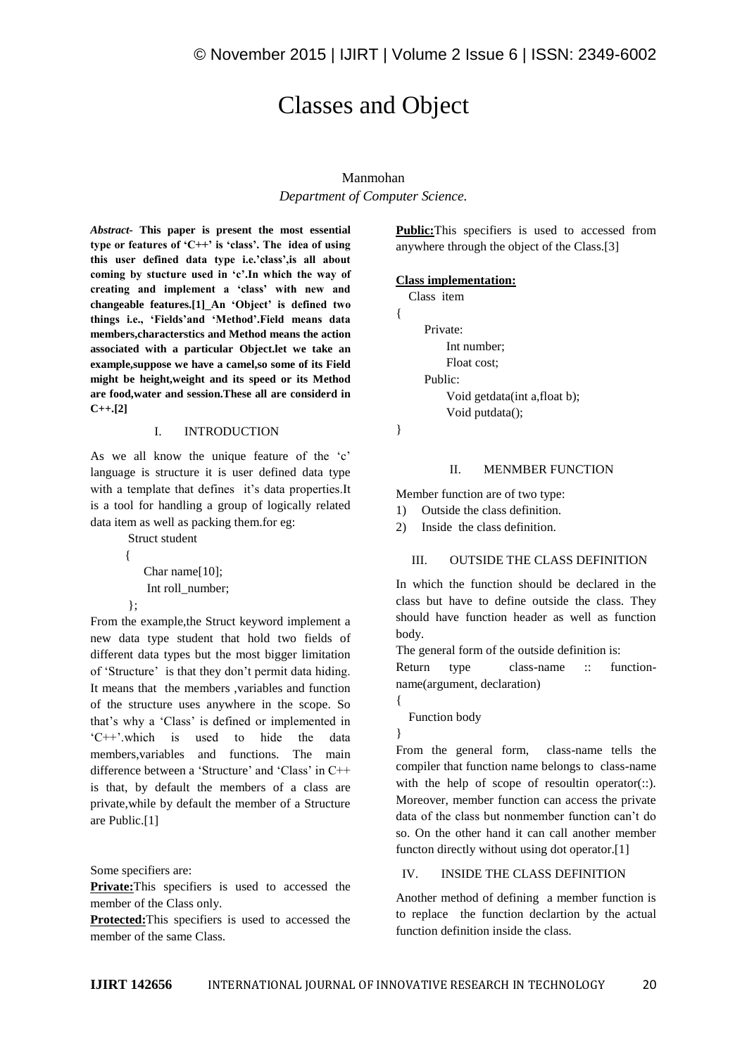# Classes and Object

## Manmohan

*Department of Computer Science.*

*Abstract-* **This paper is present the most essential type or features of 'C++' is 'class'. The idea of using this user defined data type i.e.'class',is all about coming by stucture used in 'c'.In which the way of creating and implement a 'class' with new and changeable features.[1] An 'Object' is defined two things i.e., 'Fields'and 'Method'.Field means data members,characterstics and Method means the action associated with a particular Object.let we take an example,suppose we have a camel,so some of its Field might be height,weight and its speed or its Method are food,water and session.These all are considerd in C++.[2]**

## I. INTRODUCTION

As we all know the unique feature of the 'c' language is structure it is user defined data type with a template that defines it's data properties.It is a tool for handling a group of logically related data item as well as packing them.for eg:

Struct student

```
 Char name[10];
Int roll_number;
```
};

{

From the example,the Struct keyword implement a new data type student that hold two fields of different data types but the most bigger limitation of 'Structure' is that they don't permit data hiding. It means that the members ,variables and function of the structure uses anywhere in the scope. So that's why a 'Class' is defined or implemented in 'C++'.which is used to hide the data members,variables and functions. The main difference between a 'Structure' and 'Class' in C++ is that, by default the members of a class are private,while by default the member of a Structure are Public.[1]

Some specifiers are:

**Private:**This specifiers is used to accessed the member of the Class only.

**Protected:**This specifiers is used to accessed the member of the same Class.

**Public:**This specifiers is used to accessed from anywhere through the object of the Class.[3]

## **Class implementation:**

```
 Class item
    Private: 
         Int number;
         Float cost;
    Public:
         Void getdata(int a,float b);
         Void putdata();
```

```
}
```
{

## II. MENMBER FUNCTION

Member function are of two type:

1) Outside the class definition.

2) Inside the class definition.

# III. OUTSIDE THE CLASS DEFINITION

In which the function should be declared in the class but have to define outside the class. They should have function header as well as function body.

The general form of the outside definition is:

Return type class-name :: functionname(argument, declaration)

Function body

}

{

From the general form, class-name tells the compiler that function name belongs to class-name with the help of scope of resoultin operator $(:).$ Moreover, member function can access the private data of the class but nonmember function can't do so. On the other hand it can call another member functon directly without using dot operator.[1]

# IV. INSIDE THE CLASS DEFINITION

Another method of defining a member function is to replace the function declartion by the actual function definition inside the class.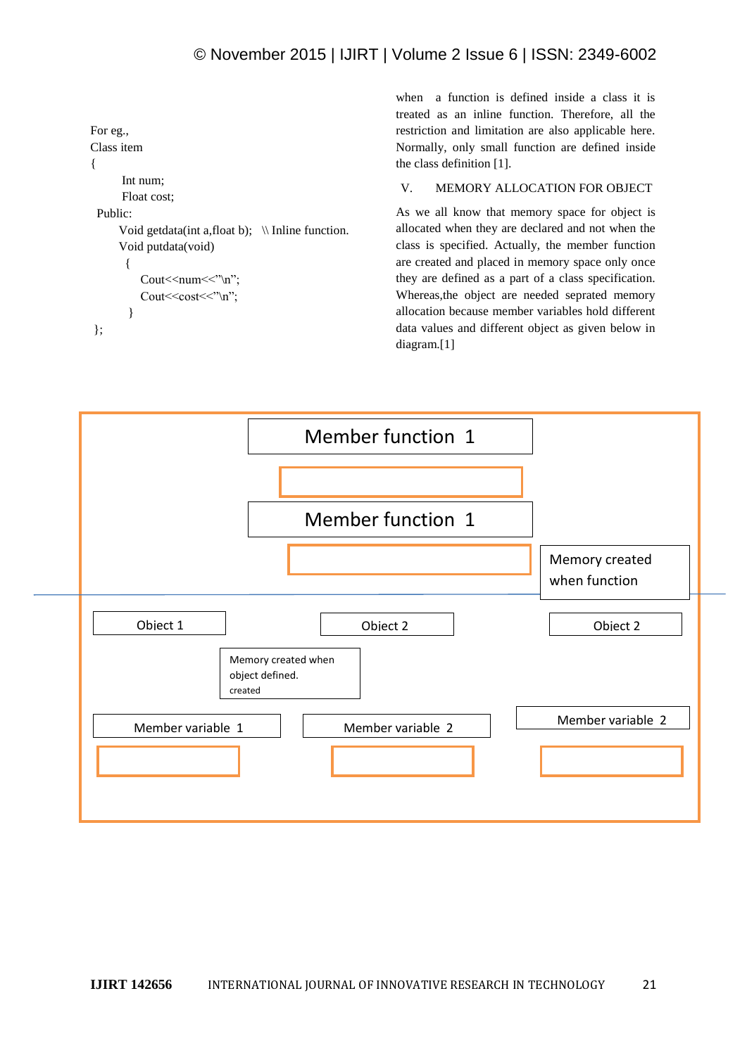```
For eg.,
Class item 
{
        Int num;
        Float cost;
  Public:
      Void getdata(int a, float b); \|\Inline function.
       Void putdata(void)
        { 
           Cout<<num<<"\n";
           Cout \le \cos t \le \text{max};
         }
 };
```
when a function is defined inside a class it is treated as an inline function. Therefore, all the restriction and limitation are also applicable here. Normally, only small function are defined inside the class definition [1].

# V. MEMORY ALLOCATION FOR OBJECT

As we all know that memory space for object is allocated when they are declared and not when the class is specified. Actually, the member function are created and placed in memory space only once they are defined as a part of a class specification. Whereas,the object are needed seprated memory allocation because member variables hold different data values and different object as given below in diagram.[1]